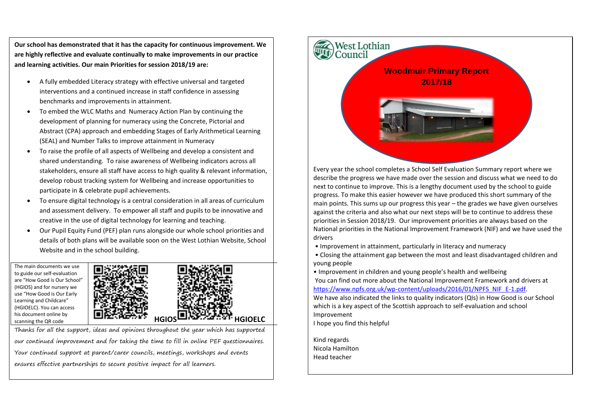**Our school has demonstrated that it has the capacity for continuous improvement. We are highly reflective and evaluate continually to make improvements in our practice and learning activities. Our main Priorities for session 2018/19 are:**

- A fully embedded Literacy strategy with effective universal and targeted interventions and a continued increase in staff confidence in assessing benchmarks and improvements in attainment.
- To embed the WLC Maths and Numeracy Action Plan by continuing the development of planning for numeracy using the Concrete, Pictorial and Abstract (CPA) approach and embedding Stages of Early Arithmetical Learning (SEAL) and Number Talks to improve attainment in Numeracy
- To raise the profile of all aspects of Wellbeing and develop a consistent and shared understanding. To raise awareness of Wellbeing indicators across all stakeholders, ensure all staff have access to high quality & relevant information, develop robust tracking system for Wellbeing and increase opportunities to participate in & celebrate pupil achievements.
- To ensure digital technology is a central consideration in all areas of curriculum and assessment delivery. To empower all staff and pupils to be innovative and creative in the use of digital technology for learning and teaching.
- Our Pupil Equity Fund (PEF) plan runs alongside our whole school priorities and details of both plans will be available soon on the West Lothian Website, School Website and in the school building.

The main documents we use to guide our self-evaluation are "How Good is Our School" (HGIOS) and for nursery we use "How Good is Our Early Learning and Childcare" (HGIOELC). You can access his document online by



Thanks for all the support, ideas and opinions throughout the year which has supported our continued improvement and for taking the time to fill in online PEF questionnaires. Your continued support at parent/carer councils, meetings, workshops and events ensures effective partnerships to secure positive impact for all learners.



Every year the school completes a School Self Evaluation Summary report where we describe the progress we have made over the session and discuss what we need to do next to continue to improve. This is a lengthy document used by the school to guide progress. To make this easier however we have produced this short summary of the main points. This sums up our progress this year – the grades we have given ourselves against the criteria and also what our next steps will be to continue to address these priorities in Session 2018/19. Our improvement priorities are always based on the National priorities in the National Improvement Framework (NIF) and we have used the drivers

- Improvement in attainment, particularly in literacy and numeracy
- Closing the attainment gap between the most and least disadvantaged children and young people

• Improvement in children and young people's health and wellbeing You can find out more about the National Improvement Framework and drivers at [https://www.npfs.org.uk/wp-content/uploads/2016/01/NPFS\\_NIF\\_E-1.pdf.](https://www.npfs.org.uk/wp-content/uploads/2016/01/NPFS_NIF_E-1.pdf) We have also indicated the links to quality indicators (QIs) in How Good is our School which is a key aspect of the Scottish approach to self-evaluation and school Improvement I hope you find this helpful

Kind regards Nicola Hamilton Head teacher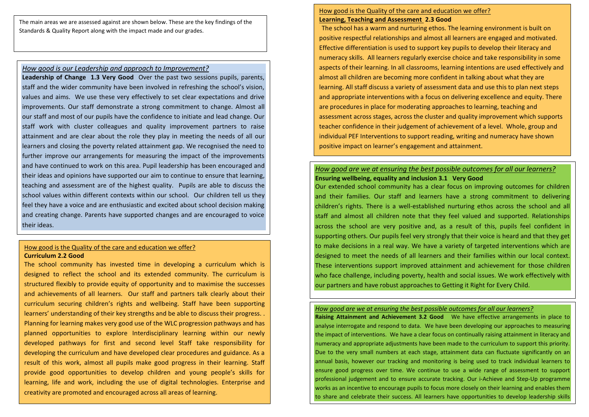The main areas we are assessed against are shown below. These are the key findings of the Standards & Quality Report along with the impact made and our grades.

#### *How good is our Leadership and approach to Improvement?*

**Leadership of Change 1.3 Very Good** Over the past two sessions pupils, parents, staff and the wider community have been involved in refreshing the school's vision, values and aims. We use these very effectively to set clear expectations and drive improvements. Our staff demonstrate a strong commitment to change. Almost all our staff and most of our pupils have the confidence to initiate and lead change. Our staff work with cluster colleagues and quality improvement partners to raise attainment and are clear about the role they play in meeting the needs of all our learners and closing the poverty related attainment gap. We recognised the need to further improve our arrangements for measuring the impact of the improvements and have continued to work on this area. Pupil leadership has been encouraged and their ideas and opinions have supported our aim to continue to ensure that learning, teaching and assessment are of the highest quality. Pupils are able to discuss the school values within different contexts within our school. Our children tell us they feel they have a voice and are enthusiastic and excited about school decision making and creating change. Parents have supported changes and are encouraged to voice their ideas.

### How good is the Quality of the care and education we offer? **Curriculum 2.2 Good**

The school community has invested time in developing a curriculum which is designed to reflect the school and its extended community. The curriculum is structured flexibly to provide equity of opportunity and to maximise the successes and achievements of all learners. Our staff and partners talk clearly about their curriculum securing children's rights and wellbeing. Staff have been supporting learners' understanding of their key strengths and be able to discuss their progress. . Planning for learning makes very good use of the WLC progression pathways and has planned opportunities to explore Interdisciplinary learning within our newly developed pathways for first and second level Staff take responsibility for developing the curriculum and have developed clear procedures and guidance. As a result of this work, almost all pupils make good progress in their learning. Staff provide good opportunities to develop children and young people's skills for learning, life and work, including the use of digital technologies. Enterprise and creativity are promoted and encouraged across all areas of learning.

### How good is the Quality of the care and education we offer? **Learning, Teaching and Assessment 2.3 Good**

 The school has a warm and nurturing ethos. The learning environment is built on positive respectful relationships and almost all learners are engaged and motivated. Effective differentiation is used to support key pupils to develop their literacy and numeracy skills. All learners regularly exercise choice and take responsibility in some aspects of their learning. In all classrooms, learning intentions are used effectively and almost all children are becoming more confident in talking about what they are learning. All staff discuss a variety of assessment data and use this to plan next steps and appropriate interventions with a focus on delivering excellence and equity. There are procedures in place for moderating approaches to learning, teaching and assessment across stages, across the cluster and quality improvement which supports teacher confidence in their judgement of achievement of a level. Whole, group and individual PEF Interventions to support reading, writing and numeracy have shown positive impact on learner's engagement and attainment.

### *How good are we at ensuring the best possible outcomes for all our learners?* **Ensuring wellbeing, equality and inclusion 3.1 Very Good**

Our extended school community has a clear focus on improving outcomes for children and their families. Our staff and learners have a strong commitment to delivering children's rights. There is a well-established nurturing ethos across the school and all staff and almost all children note that they feel valued and supported. Relationships across the school are very positive and, as a result of this, pupils feel confident in supporting others. Our pupils feel very strongly that their voice is heard and that they get to make decisions in a real way. We have a variety of targeted interventions which are designed to meet the needs of all learners and their families within our local context. These interventions support improved attainment and achievement for those children who face challenge, including poverty, health and social issues. We work effectively with our partners and have robust approaches to Getting it Right for Every Child.

#### *How good are we at ensuring the best possible outcomes for all our learners?*

**Raising Attainment and Achievement 3.2 Good** We have effective arrangements in place to analyse interrogate and respond to data. We have been developing our approaches to measuring the impact of interventions. We have a clear focus on continually raising attainment in literacy and numeracy and appropriate adjustments have been made to the curriculum to support this priority. Due to the very small numbers at each stage, attainment data can fluctuate significantly on an annual basis, however our tracking and monitoring is being used to track individual learners to ensure good progress over time. We continue to use a wide range of assessment to support professional judgement and to ensure accurate tracking. Our i-Achieve and Step-Up programme works as an incentive to encourage pupils to focus more closely on their learning and enables them to share and celebrate their success. All learners have opportunities to develop leadership skills

through taking on responsibility sharing in and leading on developments within the school and